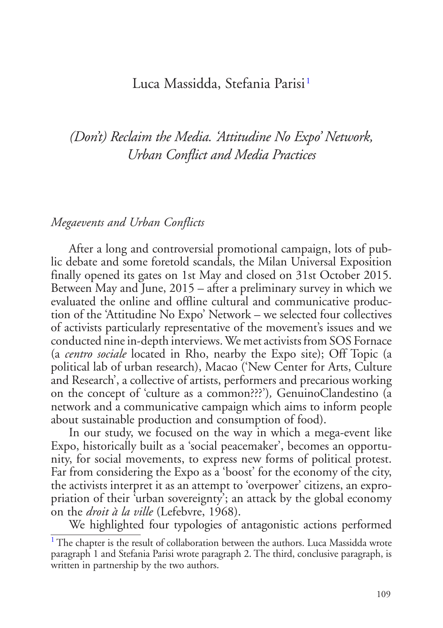## <span id="page-0-1"></span>Luca Massidda, Stefania Parisi<sup>[1](#page-0-0)</sup>

# *(Don't) Reclaim the Media. 'Attitudine No Expo' Network, Urban Conflict and Media Practices*

#### *Megaevents and Urban Conflicts*

After a long and controversial promotional campaign, lots of public debate and some foretold scandals, the Milan Universal Exposition finally opened its gates on 1st May and closed on 31st October 2015. Between May and June, 2015 – after a preliminary survey in which we evaluated the online and offline cultural and communicative production of the 'Attitudine No Expo' Network – we selected four collectives of activists particularly representative of the movement's issues and we conducted nine in-depth interviews. We met activists from SOS Fornace (a *centro sociale* located in Rho, nearby the Expo site); Off Topic (a political lab of urban research), Macao ('New Center for Arts, Culture and Research', a collective of artists, performers and precarious working on the concept of 'culture as a common???')*,* GenuinoClandestino (a network and a communicative campaign which aims to inform people about sustainable production and consumption of food).

In our study, we focused on the way in which a mega-event like Expo, historically built as a 'social peacemaker', becomes an opportunity, for social movements, to express new forms of political protest. Far from considering the Expo as a 'boost' for the economy of the city, the activists interpret it as an attempt to 'overpower' citizens, an expropriation of their 'urban sovereignty'; an attack by the global economy on the *droit à la ville* (Lefebvre, 1968).

We highlighted four typologies of antagonistic actions performed

<span id="page-0-0"></span><sup>&</sup>lt;sup>[1](#page-0-1)</sup> The chapter is the result of collaboration between the authors. Luca Massidda wrote paragraph 1 and Stefania Parisi wrote paragraph 2. The third, conclusive paragraph, is written in partnership by the two authors.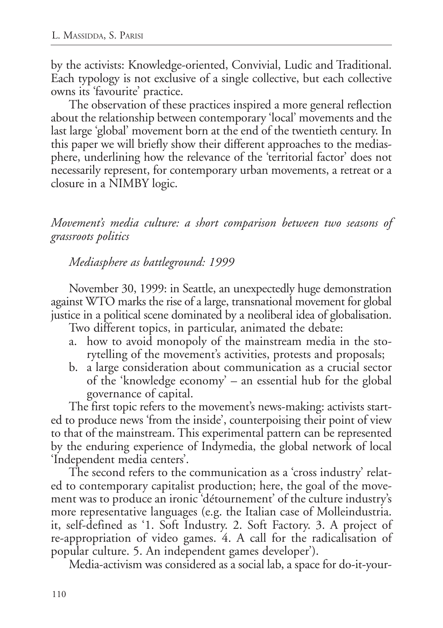by the activists: Knowledge-oriented, Convivial, Ludic and Traditional. Each typology is not exclusive of a single collective, but each collective owns its 'favourite' practice.

The observation of these practices inspired a more general reflection about the relationship between contemporary 'local' movements and the last large 'global' movement born at the end of the twentieth century. In this paper we will briefly show their different approaches to the mediasphere, underlining how the relevance of the 'territorial factor' does not necessarily represent, for contemporary urban movements, a retreat or a closure in a NIMBY logic.

*Movement's media culture: a short comparison between two seasons of grassroots politics*

*Mediasphere as battleground: 1999*

November 30, 1999: in Seattle, an unexpectedly huge demonstration against WTO marks the rise of a large, transnational movement for global justice in a political scene dominated by a neoliberal idea of globalisation.

Two different topics, in particular, animated the debate:

- a. how to avoid monopoly of the mainstream media in the storytelling of the movement's activities, protests and proposals;
- b. a large consideration about communication as a crucial sector of the 'knowledge economy' – an essential hub for the global governance of capital.

The first topic refers to the movement's news-making: activists started to produce news 'from the inside', counterpoising their point of view to that of the mainstream. This experimental pattern can be represented by the enduring experience of Indymedia, the global network of local 'Independent media centers'.

The second refers to the communication as a 'cross industry' related to contemporary capitalist production; here, the goal of the movement was to produce an ironic 'détournement' of the culture industry's more representative languages (e.g. the Italian case of Molleindustria. it, self-defined as '1. Soft Industry. 2. Soft Factory. 3. A project of re-appropriation of video games. 4. A call for the radicalisation of popular culture. 5. An independent games developer').

Media-activism was considered as a social lab, a space for do-it-your-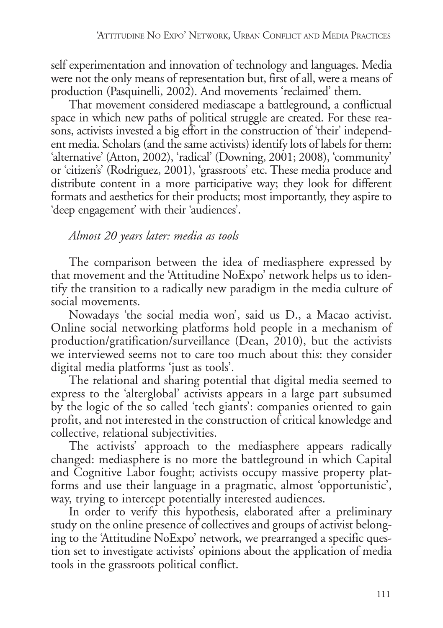self experimentation and innovation of technology and languages. Media were not the only means of representation but, first of all, were a means of production (Pasquinelli, 2002). And movements 'reclaimed' them.

That movement considered mediascape a battleground, a conflictual space in which new paths of political struggle are created. For these reasons, activists invested a big effort in the construction of 'their' independent media. Scholars (and the same activists) identify lots of labels for them: 'alternative' (Atton, 2002), 'radical' (Downing, 2001; 2008), 'community' or 'citizen's' (Rodriguez, 2001), 'grassroots' etc. These media produce and distribute content in a more participative way; they look for different formats and aesthetics for their products; most importantly, they aspire to 'deep engagement' with their 'audiences'.

# *Almost 20 years later: media as tools*

The comparison between the idea of mediasphere expressed by that movement and the 'Attitudine NoExpo' network helps us to identify the transition to a radically new paradigm in the media culture of social movements.

Nowadays 'the social media won', said us D., a Macao activist. Online social networking platforms hold people in a mechanism of production/gratification/surveillance (Dean, 2010), but the activists we interviewed seems not to care too much about this: they consider digital media platforms 'just as tools'.

The relational and sharing potential that digital media seemed to express to the 'alterglobal' activists appears in a large part subsumed by the logic of the so called 'tech giants': companies oriented to gain profit, and not interested in the construction of critical knowledge and collective, relational subjectivities.

The activists' approach to the mediasphere appears radically changed: mediasphere is no more the battleground in which Capital and Cognitive Labor fought; activists occupy massive property platforms and use their language in a pragmatic, almost 'opportunistic', way, trying to intercept potentially interested audiences.

In order to verify this hypothesis, elaborated after a preliminary study on the online presence of collectives and groups of activist belonging to the 'Attitudine NoExpo' network, we prearranged a specific question set to investigate activists' opinions about the application of media tools in the grassroots political conflict.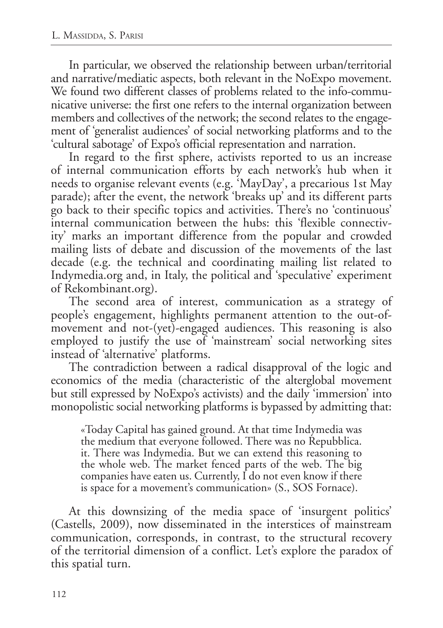In particular, we observed the relationship between urban/territorial and narrative/mediatic aspects, both relevant in the NoExpo movement. We found two different classes of problems related to the info-communicative universe: the first one refers to the internal organization between members and collectives of the network; the second relates to the engagement of 'generalist audiences' of social networking platforms and to the 'cultural sabotage' of Expo's official representation and narration.

In regard to the first sphere, activists reported to us an increase of internal communication efforts by each network's hub when it needs to organise relevant events (e.g. 'MayDay', a precarious 1st May parade); after the event, the network 'breaks up' and its different parts go back to their specific topics and activities. There's no 'continuous' internal communication between the hubs: this 'flexible connectivity' marks an important difference from the popular and crowded mailing lists of debate and discussion of the movements of the last decade (e.g. the technical and coordinating mailing list related to Indymedia.org and, in Italy, the political and 'speculative' experiment of Rekombinant.org).

The second area of interest, communication as a strategy of people's engagement, highlights permanent attention to the out-ofmovement and not-(yet)-engaged audiences. This reasoning is also employed to justify the use of 'mainstream' social networking sites instead of 'alternative' platforms.

The contradiction between a radical disapproval of the logic and economics of the media (characteristic of the alterglobal movement but still expressed by NoExpo's activists) and the daily 'immersion' into monopolistic social networking platforms is bypassed by admitting that:

«Today Capital has gained ground. At that time Indymedia was the medium that everyone followed. There was no Repubblica. it. There was Indymedia. But we can extend this reasoning to the whole web. The market fenced parts of the web. The big companies have eaten us. Currently, I do not even know if there is space for a movement's communication» (S., SOS Fornace).

At this downsizing of the media space of 'insurgent politics' (Castells, 2009), now disseminated in the interstices of mainstream communication, corresponds, in contrast, to the structural recovery of the territorial dimension of a conflict. Let's explore the paradox of this spatial turn.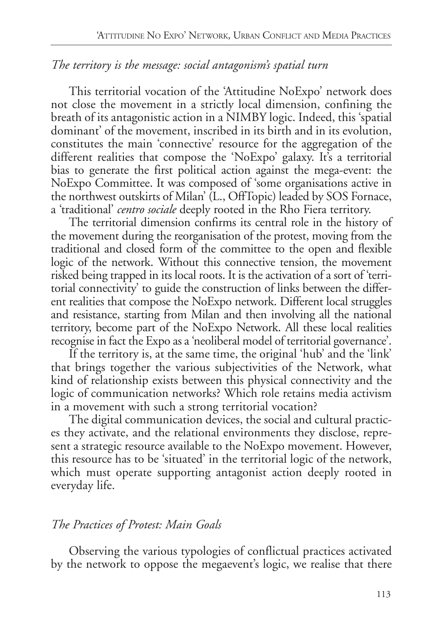# *The territory is the message: social antagonism's spatial turn*

This territorial vocation of the 'Attitudine NoExpo' network does not close the movement in a strictly local dimension, confining the breath of its antagonistic action in a NIMBY logic. Indeed, this 'spatial dominant' of the movement, inscribed in its birth and in its evolution, constitutes the main 'connective' resource for the aggregation of the different realities that compose the 'NoExpo' galaxy. It's a territorial bias to generate the first political action against the mega-event: the NoExpo Committee. It was composed of 'some organisations active in the northwest outskirts of Milan' (L., OffTopic) leaded by SOS Fornace, a 'traditional' *centro sociale* deeply rooted in the Rho Fiera territory.

The territorial dimension confirms its central role in the history of the movement during the reorganisation of the protest, moving from the traditional and closed form of the committee to the open and flexible logic of the network. Without this connective tension, the movement risked being trapped in its local roots. It is the activation of a sort of 'territorial connectivity' to guide the construction of links between the different realities that compose the NoExpo network. Different local struggles and resistance, starting from Milan and then involving all the national territory, become part of the NoExpo Network. All these local realities recognise in fact the Expo as a 'neoliberal model of territorial governance'.

If the territory is, at the same time, the original 'hub' and the 'link' that brings together the various subjectivities of the Network, what kind of relationship exists between this physical connectivity and the logic of communication networks? Which role retains media activism in a movement with such a strong territorial vocation?

The digital communication devices, the social and cultural practices they activate, and the relational environments they disclose, represent a strategic resource available to the NoExpo movement. However, this resource has to be 'situated' in the territorial logic of the network, which must operate supporting antagonist action deeply rooted in everyday life.

## *The Practices of Protest: Main Goals*

Observing the various typologies of conflictual practices activated by the network to oppose the megaevent's logic, we realise that there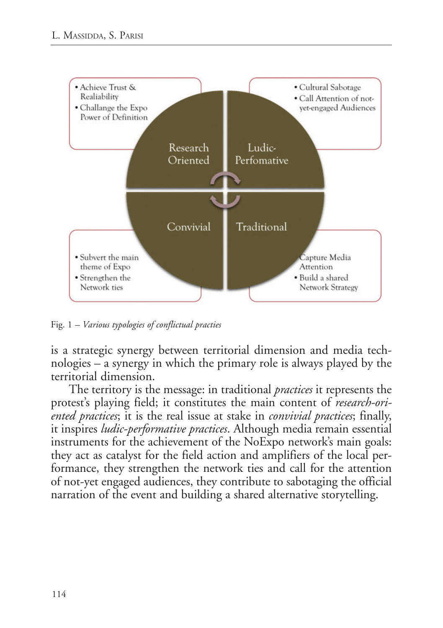

Fig. 1 *– Various typologies of conflictual practies*

is a strategic synergy between territorial dimension and media technologies – a synergy in which the primary role is always played by the territorial dimension.

The territory is the message: in traditional *practices* it represents the protest's playing field; it constitutes the main content of *research-oriented practices*; it is the real issue at stake in *convivial practices*; finally, it inspires *ludic-performative practices*. Although media remain essential instruments for the achievement of the NoExpo network's main goals: they act as catalyst for the field action and amplifiers of the local performance, they strengthen the network ties and call for the attention of not-yet engaged audiences, they contribute to sabotaging the official narration of the event and building a shared alternative storytelling.